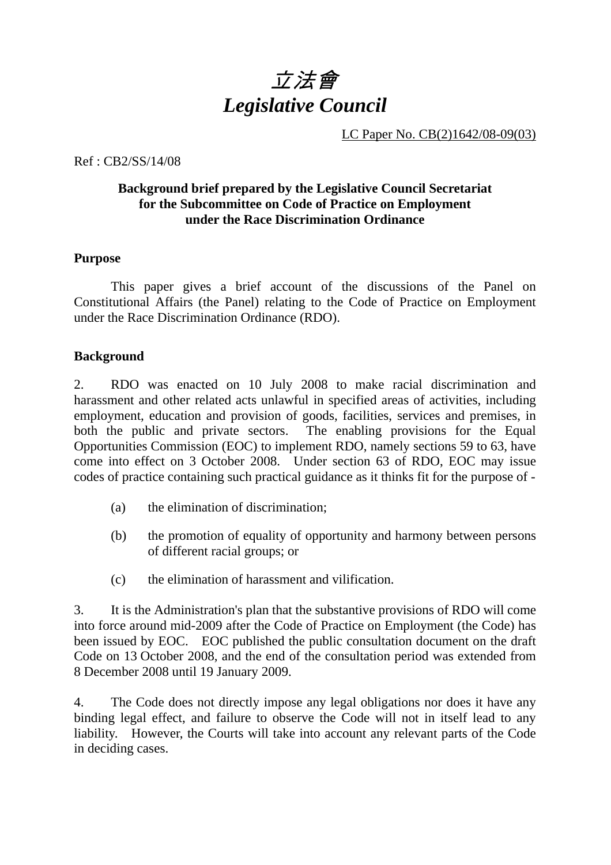

LC Paper No. CB(2)1642/08-09(03)

Ref : CB2/SS/14/08

# **Background brief prepared by the Legislative Council Secretariat for the Subcommittee on Code of Practice on Employment under the Race Discrimination Ordinance**

#### **Purpose**

 This paper gives a brief account of the discussions of the Panel on Constitutional Affairs (the Panel) relating to the Code of Practice on Employment under the Race Discrimination Ordinance (RDO).

#### **Background**

2. RDO was enacted on 10 July 2008 to make racial discrimination and harassment and other related acts unlawful in specified areas of activities, including employment, education and provision of goods, facilities, services and premises, in both the public and private sectors. The enabling provisions for the Equal Opportunities Commission (EOC) to implement RDO, namely sections 59 to 63, have come into effect on 3 October 2008. Under section 63 of RDO, EOC may issue codes of practice containing such practical guidance as it thinks fit for the purpose of -

- (a) the elimination of discrimination;
- (b) the promotion of equality of opportunity and harmony between persons of different racial groups; or
- (c) the elimination of harassment and vilification.

3. It is the Administration's plan that the substantive provisions of RDO will come into force around mid-2009 after the Code of Practice on Employment (the Code) has been issued by EOC. EOC published the public consultation document on the draft Code on 13 October 2008, and the end of the consultation period was extended from 8 December 2008 until 19 January 2009.

4. The Code does not directly impose any legal obligations nor does it have any binding legal effect, and failure to observe the Code will not in itself lead to any liability. However, the Courts will take into account any relevant parts of the Code in deciding cases.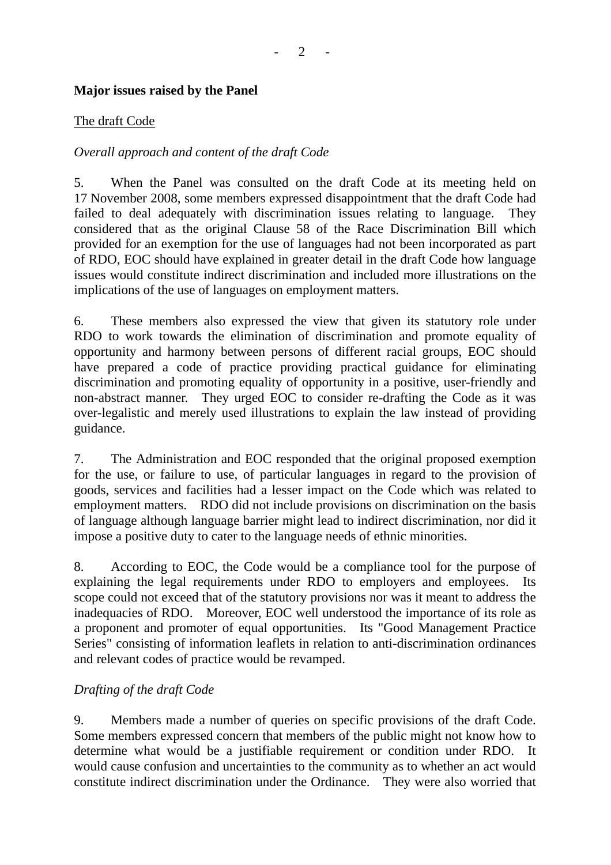### **Major issues raised by the Panel**

#### The draft Code

# *Overall approach and content of the draft Code*

5. When the Panel was consulted on the draft Code at its meeting held on 17 November 2008, some members expressed disappointment that the draft Code had failed to deal adequately with discrimination issues relating to language. They considered that as the original Clause 58 of the Race Discrimination Bill which provided for an exemption for the use of languages had not been incorporated as part of RDO, EOC should have explained in greater detail in the draft Code how language issues would constitute indirect discrimination and included more illustrations on the implications of the use of languages on employment matters.

6. These members also expressed the view that given its statutory role under RDO to work towards the elimination of discrimination and promote equality of opportunity and harmony between persons of different racial groups, EOC should have prepared a code of practice providing practical guidance for eliminating discrimination and promoting equality of opportunity in a positive, user-friendly and non-abstract manner. They urged EOC to consider re-drafting the Code as it was over-legalistic and merely used illustrations to explain the law instead of providing guidance.

7. The Administration and EOC responded that the original proposed exemption for the use, or failure to use, of particular languages in regard to the provision of goods, services and facilities had a lesser impact on the Code which was related to employment matters. RDO did not include provisions on discrimination on the basis of language although language barrier might lead to indirect discrimination, nor did it impose a positive duty to cater to the language needs of ethnic minorities.

8. According to EOC, the Code would be a compliance tool for the purpose of explaining the legal requirements under RDO to employers and employees. Its scope could not exceed that of the statutory provisions nor was it meant to address the inadequacies of RDO. Moreover, EOC well understood the importance of its role as a proponent and promoter of equal opportunities. Its "Good Management Practice Series" consisting of information leaflets in relation to anti-discrimination ordinances and relevant codes of practice would be revamped.

# *Drafting of the draft Code*

9. Members made a number of queries on specific provisions of the draft Code. Some members expressed concern that members of the public might not know how to determine what would be a justifiable requirement or condition under RDO. It would cause confusion and uncertainties to the community as to whether an act would constitute indirect discrimination under the Ordinance. They were also worried that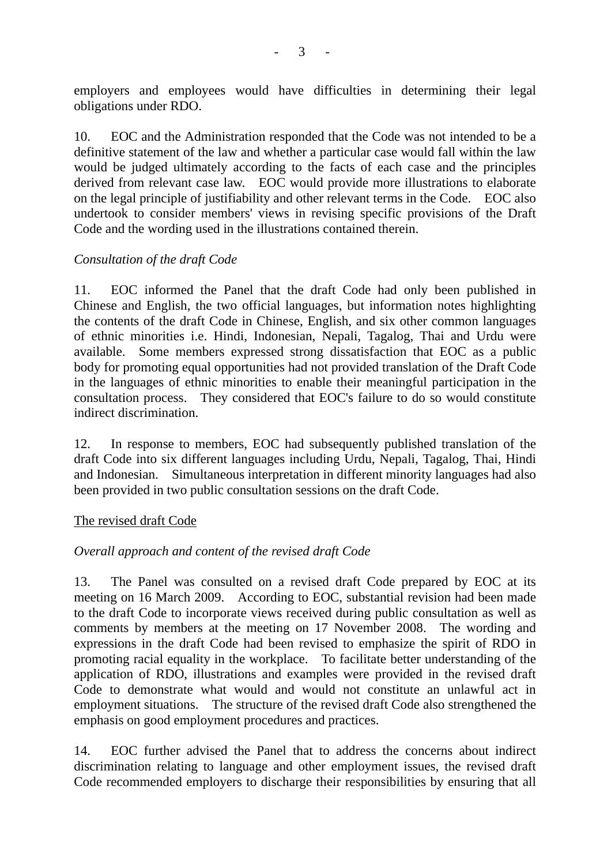employers and employees would have difficulties in determining their legal obligations under RDO.

10. EOC and the Administration responded that the Code was not intended to be a definitive statement of the law and whether a particular case would fall within the law would be judged ultimately according to the facts of each case and the principles derived from relevant case law. EOC would provide more illustrations to elaborate on the legal principle of justifiability and other relevant terms in the Code. EOC also undertook to consider members' views in revising specific provisions of the Draft Code and the wording used in the illustrations contained therein.

#### *Consultation of the draft Code*

11. EOC informed the Panel that the draft Code had only been published in Chinese and English, the two official languages, but information notes highlighting the contents of the draft Code in Chinese, English, and six other common languages of ethnic minorities i.e. Hindi, Indonesian, Nepali, Tagalog, Thai and Urdu were available. Some members expressed strong dissatisfaction that EOC as a public body for promoting equal opportunities had not provided translation of the Draft Code in the languages of ethnic minorities to enable their meaningful participation in the consultation process. They considered that EOC's failure to do so would constitute indirect discrimination.

12. In response to members, EOC had subsequently published translation of the draft Code into six different languages including Urdu, Nepali, Tagalog, Thai, Hindi and Indonesian. Simultaneous interpretation in different minority languages had also been provided in two public consultation sessions on the draft Code.

#### The revised draft Code

# *Overall approach and content of the revised draft Code*

13. The Panel was consulted on a revised draft Code prepared by EOC at its meeting on 16 March 2009. According to EOC, substantial revision had been made to the draft Code to incorporate views received during public consultation as well as comments by members at the meeting on 17 November 2008. The wording and expressions in the draft Code had been revised to emphasize the spirit of RDO in promoting racial equality in the workplace. To facilitate better understanding of the application of RDO, illustrations and examples were provided in the revised draft Code to demonstrate what would and would not constitute an unlawful act in employment situations. The structure of the revised draft Code also strengthened the emphasis on good employment procedures and practices.

14. EOC further advised the Panel that to address the concerns about indirect discrimination relating to language and other employment issues, the revised draft Code recommended employers to discharge their responsibilities by ensuring that all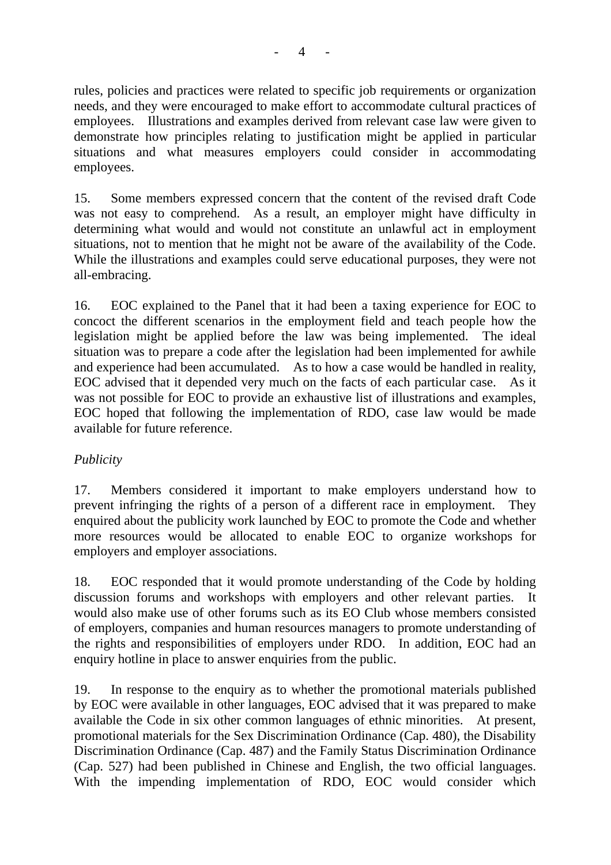rules, policies and practices were related to specific job requirements or organization needs, and they were encouraged to make effort to accommodate cultural practices of employees. Illustrations and examples derived from relevant case law were given to demonstrate how principles relating to justification might be applied in particular situations and what measures employers could consider in accommodating employees.

15. Some members expressed concern that the content of the revised draft Code was not easy to comprehend. As a result, an employer might have difficulty in determining what would and would not constitute an unlawful act in employment situations, not to mention that he might not be aware of the availability of the Code. While the illustrations and examples could serve educational purposes, they were not all-embracing.

16. EOC explained to the Panel that it had been a taxing experience for EOC to concoct the different scenarios in the employment field and teach people how the legislation might be applied before the law was being implemented. The ideal situation was to prepare a code after the legislation had been implemented for awhile and experience had been accumulated. As to how a case would be handled in reality, EOC advised that it depended very much on the facts of each particular case. As it was not possible for EOC to provide an exhaustive list of illustrations and examples, EOC hoped that following the implementation of RDO, case law would be made available for future reference.

# *Publicity*

17. Members considered it important to make employers understand how to prevent infringing the rights of a person of a different race in employment. They enquired about the publicity work launched by EOC to promote the Code and whether more resources would be allocated to enable EOC to organize workshops for employers and employer associations.

18. EOC responded that it would promote understanding of the Code by holding discussion forums and workshops with employers and other relevant parties. It would also make use of other forums such as its EO Club whose members consisted of employers, companies and human resources managers to promote understanding of the rights and responsibilities of employers under RDO. In addition, EOC had an enquiry hotline in place to answer enquiries from the public.

19. In response to the enquiry as to whether the promotional materials published by EOC were available in other languages, EOC advised that it was prepared to make available the Code in six other common languages of ethnic minorities. At present, promotional materials for the Sex Discrimination Ordinance (Cap. 480), the Disability Discrimination Ordinance (Cap. 487) and the Family Status Discrimination Ordinance (Cap. 527) had been published in Chinese and English, the two official languages. With the impending implementation of RDO, EOC would consider which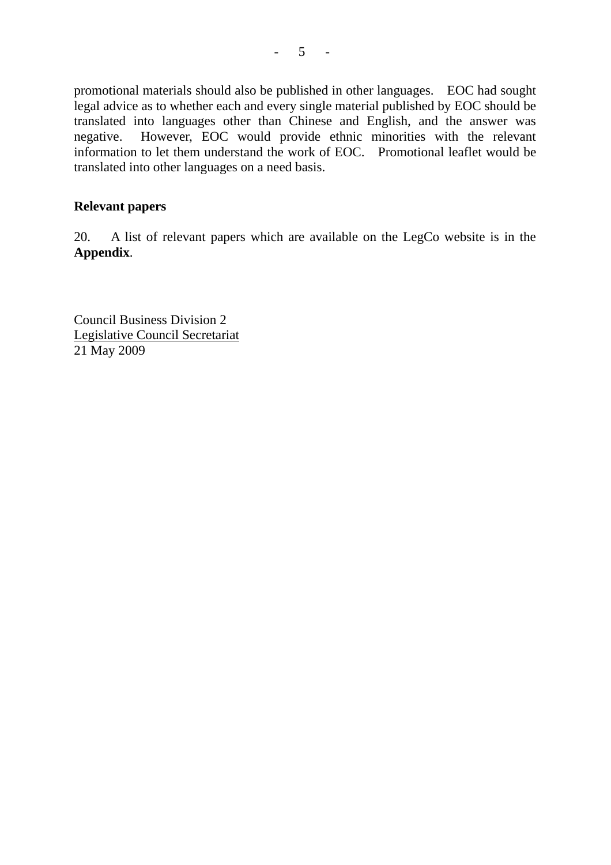promotional materials should also be published in other languages. EOC had sought legal advice as to whether each and every single material published by EOC should be translated into languages other than Chinese and English, and the answer was negative. However, EOC would provide ethnic minorities with the relevant information to let them understand the work of EOC. Promotional leaflet would be translated into other languages on a need basis.

#### **Relevant papers**

20. A list of relevant papers which are available on the LegCo website is in the **Appendix**.

Council Business Division 2 Legislative Council Secretariat 21 May 2009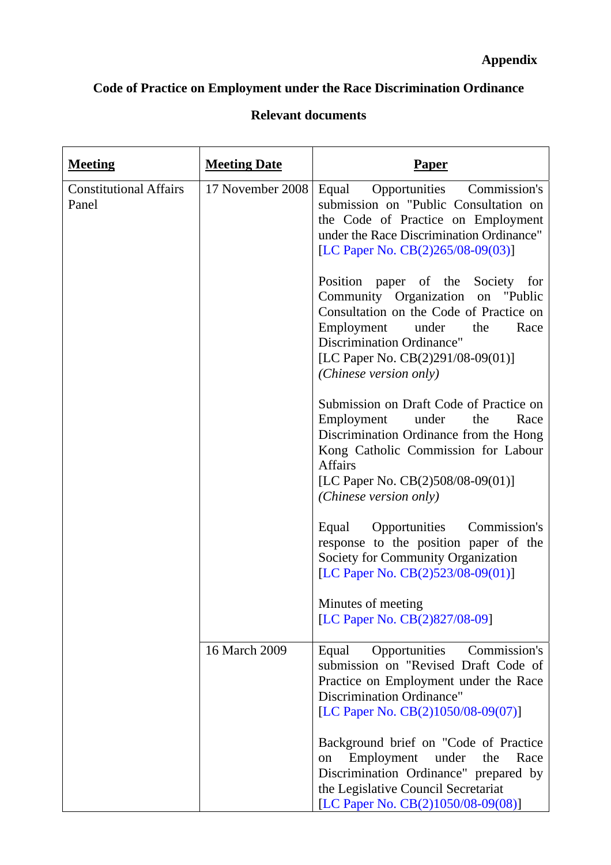# **Code of Practice on Employment under the Race Discrimination Ordinance**

# **Relevant documents**

| <b>Meeting</b>                         | <b>Meeting Date</b> | <u>Paper</u>                                                                                                                                                                                                                                                      |
|----------------------------------------|---------------------|-------------------------------------------------------------------------------------------------------------------------------------------------------------------------------------------------------------------------------------------------------------------|
| <b>Constitutional Affairs</b><br>Panel | 17 November 2008    | Commission's<br>Equal Opportunities<br>submission on "Public Consultation on<br>the Code of Practice on Employment<br>under the Race Discrimination Ordinance"<br>[LC Paper No. CB(2)265/08-09(03)]                                                               |
|                                        |                     | Position paper of the Society for<br>Community Organization<br>on<br>"Public"<br>Consultation on the Code of Practice on<br>Employment<br>Race<br>under<br>the<br><b>Discrimination Ordinance"</b><br>[LC Paper No. CB(2)291/08-09(01)]<br>(Chinese version only) |
|                                        |                     | Submission on Draft Code of Practice on<br>Employment<br>under<br>the<br>Race<br>Discrimination Ordinance from the Hong<br>Kong Catholic Commission for Labour<br><b>Affairs</b><br>[LC Paper No. CB(2)508/08-09(01)]<br>(Chinese version only)                   |
|                                        |                     | Equal Opportunities<br>Commission's<br>response to the position paper of the<br>Society for Community Organization<br>[LC Paper No. CB(2)523/08-09(01)]                                                                                                           |
|                                        |                     | Minutes of meeting<br>[LC Paper No. CB(2)827/08-09]                                                                                                                                                                                                               |
|                                        | 16 March 2009       | Opportunities<br>Commission's<br>Equal<br>submission on "Revised Draft Code of<br>Practice on Employment under the Race<br><b>Discrimination Ordinance"</b><br>[LC Paper No. CB(2)1050/08-09(07)]                                                                 |
|                                        |                     | Background brief on "Code of Practice"<br>Employment<br>under<br>Race<br>the<br>on<br>Discrimination Ordinance" prepared by<br>the Legislative Council Secretariat<br>[LC Paper No. CB(2)1050/08-09(08)]                                                          |